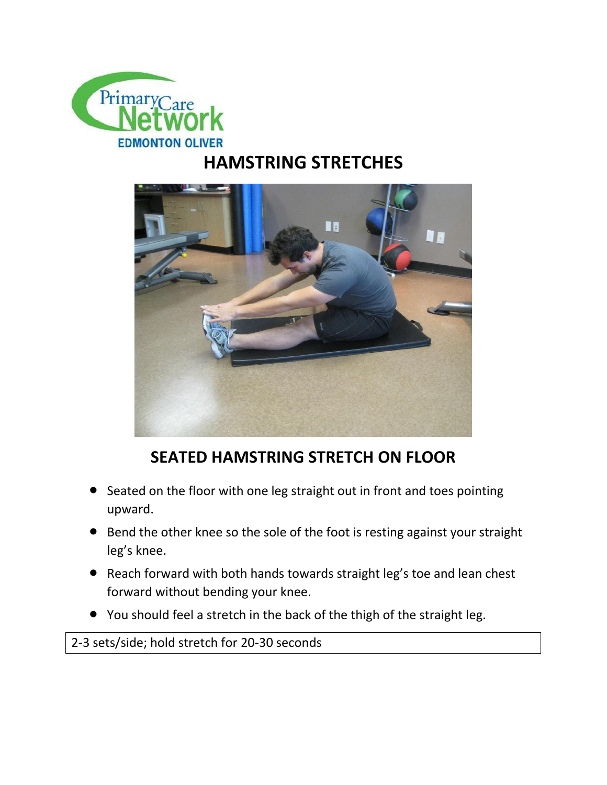

## **HAMSTRING STRETCHES**



## **SEATED HAMSTRING STRETCH ON FLOOR**

- Seated on the floor with one leg straight out in front and toes pointing upward.
- **•** Bend the other knee so the sole of the foot is resting against your straight leg's knee.
- Reach forward with both hands towards straight leg's toe and lean chest forward without bending your knee.
- You should feel a stretch in the back of the thigh of the straight leg.

2-3 sets/side; hold stretch for 20-30 seconds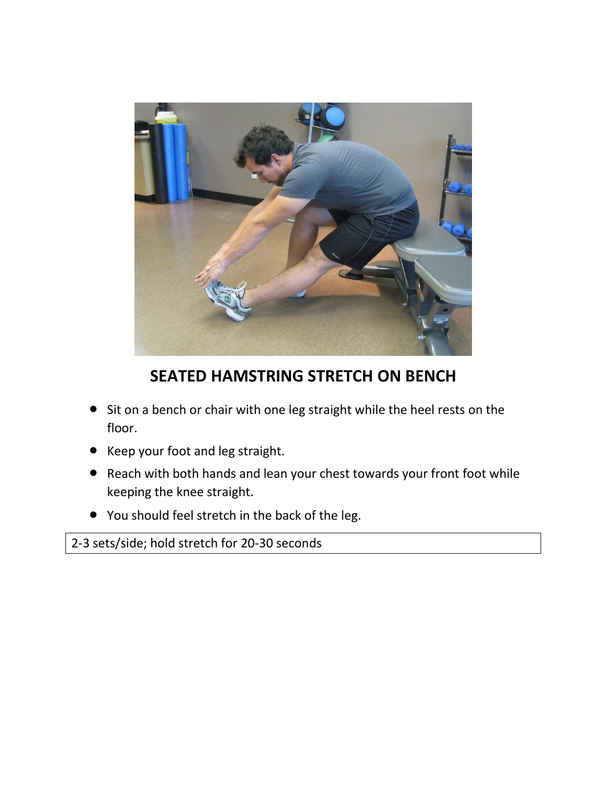

**SEATED HAMSTRING STRETCH ON BENCH**

- Sit on a bench or chair with one leg straight while the heel rests on the floor.
- Keep your foot and leg straight.
- Reach with both hands and lean your chest towards your front foot while keeping the knee straight.
- You should feel stretch in the back of the leg.

2-3 sets/side; hold stretch for 20-30 seconds